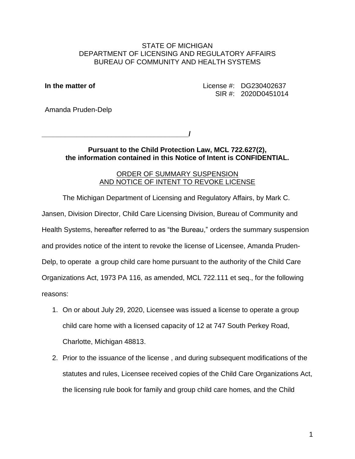#### STATE OF MICHIGAN DEPARTMENT OF LICENSING AND REGULATORY AFFAIRS BUREAU OF COMMUNITY AND HEALTH SYSTEMS

**In the matter of License #: DG230402637** SIR #: 2020D0451014

Amanda Pruden-Delp

**\_\_\_\_\_\_\_\_\_\_\_\_\_\_\_\_\_\_\_\_\_\_\_\_\_\_\_\_\_\_\_\_\_\_\_\_\_\_**

**/**

**Pursuant to the Child Protection Law, MCL 722.627(2), the information contained in this Notice of Intent is CONFIDENTIAL.**

#### ORDER OF SUMMARY SUSPENSION AND NOTICE OF INTENT TO REVOKE LICENSE

The Michigan Department of Licensing and Regulatory Affairs, by Mark C. Jansen, Division Director, Child Care Licensing Division, Bureau of Community and Health Systems, hereafter referred to as "the Bureau," orders the summary suspension and provides notice of the intent to revoke the license of Licensee, Amanda Pruden-Delp, to operate a group child care home pursuant to the authority of the Child Care Organizations Act, 1973 PA 116, as amended, MCL 722.111 et seq., for the following reasons:

- 1. On or about July 29, 2020, Licensee was issued a license to operate a group child care home with a licensed capacity of 12 at 747 South Perkey Road, Charlotte, Michigan 48813.
- 2. Prior to the issuance of the license , and during subsequent modifications of the statutes and rules, Licensee received copies of the Child Care Organizations Act, the licensing rule book for family and group child care homes, and the Child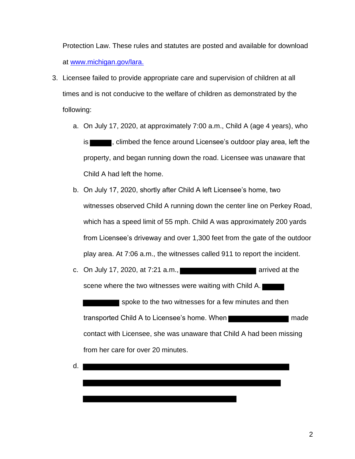Protection Law. These rules and statutes are posted and available for download at www.michigan.gov/lara.

- 3. Licensee failed to provide appropriate care and supervision of children at all times and is not conducive to the welfare of children as demonstrated by the following:
	- a. On July 17, 2020, at approximately 7:00 a.m., Child A (age 4 years), who is **the set of the fence around Licensee's outdoor play area, left the** property, and began running down the road. Licensee was unaware that Child A had left the home.
	- b. On July 17, 2020, shortly after Child A left Licensee's home, two witnesses observed Child A running down the center line on Perkey Road, which has a speed limit of 55 mph. Child A was approximately 200 yards from Licensee's driveway and over 1,300 feet from the gate of the outdoor play area. At 7:06 a.m., the witnesses called 911 to report the incident.
	- c. On July 17, 2020, at  $7:21$  a.m., scene where the two witnesses were waiting with Child A. spoke to the two witnesses for a few minutes and then transported Child A to Licensee's home. When contact with Licensee, she was unaware that Child A had been missing from her care for over 20 minutes.
	- d.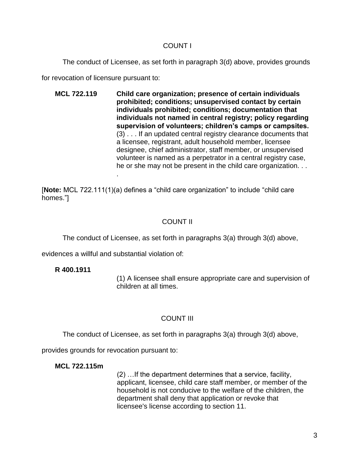### COUNT I

The conduct of Licensee, as set forth in paragraph 3(d) above, provides grounds

for revocation of licensure pursuant to:

**MCL 722.119 Child care organization; presence of certain individuals prohibited; conditions; unsupervised contact by certain individuals prohibited; conditions; documentation that individuals not named in central registry; policy regarding supervision of volunteers; children's camps or campsites.** (3) . . . If an updated central registry clearance documents that a licensee, registrant, adult household member, licensee designee, chief administrator, staff member, or unsupervised volunteer is named as a perpetrator in a central registry case, he or she may not be present in the child care organization. . .

[**Note:** MCL 722.111(1)(a) defines a "child care organization" to include "child care homes."]

# COUNT II

The conduct of Licensee, as set forth in paragraphs 3(a) through 3(d) above,

evidences a willful and substantial violation of:

.

## **R 400.1911**

(1) A licensee shall ensure appropriate care and supervision of children at all times.

# COUNT III

The conduct of Licensee, as set forth in paragraphs 3(a) through 3(d) above,

provides grounds for revocation pursuant to:

## **MCL 722.115m**

(2) …If the department determines that a service, facility, applicant, licensee, child care staff member, or member of the household is not conducive to the welfare of the children, the department shall deny that application or revoke that licensee's license according to section 11.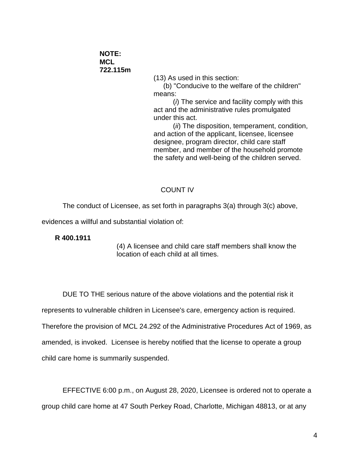**NOTE: MCL 722.115m**

(13) As used in this section:

(b) "Conducive to the welfare of the children" means:

(*i*) The service and facility comply with this act and the administrative rules promulgated under this act.

(*ii*) The disposition, temperament, condition, and action of the applicant, licensee, licensee designee, program director, child care staff member, and member of the household promote the safety and well-being of the children served.

#### COUNT IV

The conduct of Licensee, as set forth in paragraphs 3(a) through 3(c) above,

evidences a willful and substantial violation of:

**R 400.1911**

(4) A licensee and child care staff members shall know the location of each child at all times.

DUE TO THE serious nature of the above violations and the potential risk it represents to vulnerable children in Licensee's care, emergency action is required. Therefore the provision of MCL 24.292 of the Administrative Procedures Act of 1969, as amended, is invoked. Licensee is hereby notified that the license to operate a group child care home is summarily suspended.

EFFECTIVE 6:00 p.m., on August 28, 2020, Licensee is ordered not to operate a group child care home at 47 South Perkey Road, Charlotte, Michigan 48813, or at any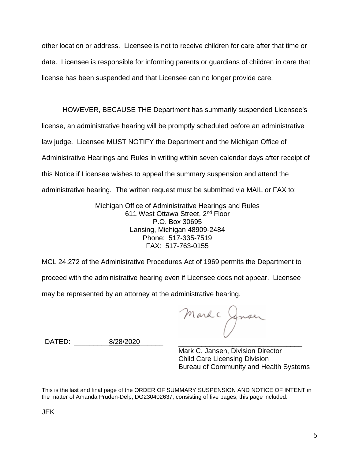other location or address. Licensee is not to receive children for care after that time or date. Licensee is responsible for informing parents or guardians of children in care that license has been suspended and that Licensee can no longer provide care.

HOWEVER, BECAUSE THE Department has summarily suspended Licensee's license, an administrative hearing will be promptly scheduled before an administrative law judge. Licensee MUST NOTIFY the Department and the Michigan Office of Administrative Hearings and Rules in writing within seven calendar days after receipt of this Notice if Licensee wishes to appeal the summary suspension and attend the administrative hearing. The written request must be submitted via MAIL or FAX to:

> Michigan Office of Administrative Hearings and Rules 611 West Ottawa Street, 2<sup>nd</sup> Floor P.O. Box 30695 Lansing, Michigan 48909-2484 Phone: 517-335-7519 FAX: 517-763-0155

MCL 24.272 of the Administrative Procedures Act of 1969 permits the Department to proceed with the administrative hearing even if Licensee does not appear. Licensee may be represented by an attorney at the administrative hearing.

Mark Cynser \_\_\_\_\_\_\_\_\_\_\_\_\_\_\_\_\_\_\_\_\_\_\_\_\_\_

\_\_\_\_\_\_\_\_\_ \_\_\_\_\_\_ \_\_\_\_\_\_ DATED: 8/28/2020

Mark C. Jansen, Division Director Child Care Licensing Division Bureau of Community and Health Systems

This is the last and final page of the ORDER OF SUMMARY SUSPENSION AND NOTICE OF INTENT in the matter of Amanda Pruden-Delp, DG230402637, consisting of five pages, this page included.

JEK